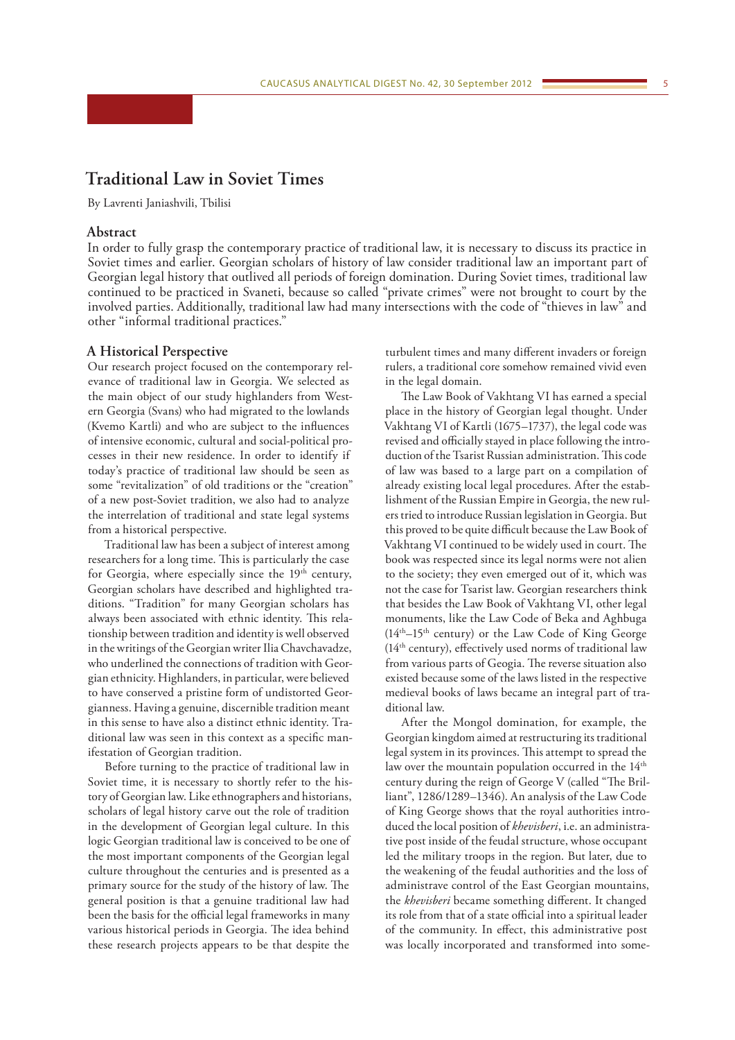# **Traditional Law in Soviet Times**

By Lavrenti Janiashvili, Tbilisi

## **Abstract**

In order to fully grasp the contemporary practice of traditional law, it is necessary to discuss its practice in Soviet times and earlier. Georgian scholars of history of law consider traditional law an important part of Georgian legal history that outlived all periods of foreign domination. During Soviet times, traditional law continued to be practiced in Svaneti, because so called "private crimes" were not brought to court by the involved parties. Additionally, traditional law had many intersections with the code of "thieves in law" and other "informal traditional practices."

## **A Historical Perspective**

Our research project focused on the contemporary relevance of traditional law in Georgia. We selected as the main object of our study highlanders from Western Georgia (Svans) who had migrated to the lowlands (Kvemo Kartli) and who are subject to the influences of intensive economic, cultural and social-political processes in their new residence. In order to identify if today's practice of traditional law should be seen as some "revitalization" of old traditions or the "creation" of a new post-Soviet tradition, we also had to analyze the interrelation of traditional and state legal systems from a historical perspective.

Traditional law has been a subject of interest among researchers for a long time. This is particularly the case for Georgia, where especially since the 19<sup>th</sup> century, Georgian scholars have described and highlighted traditions. "Tradition" for many Georgian scholars has always been associated with ethnic identity. This relationship between tradition and identity is well observed in the writings of the Georgian writer Ilia Chavchavadze, who underlined the connections of tradition with Georgian ethnicity. Highlanders, in particular, were believed to have conserved a pristine form of undistorted Georgianness. Having a genuine, discernible tradition meant in this sense to have also a distinct ethnic identity. Traditional law was seen in this context as a specific manifestation of Georgian tradition.

Before turning to the practice of traditional law in Soviet time, it is necessary to shortly refer to the history of Georgian law. Like ethnographers and historians, scholars of legal history carve out the role of tradition in the development of Georgian legal culture. In this logic Georgian traditional law is conceived to be one of the most important components of the Georgian legal culture throughout the centuries and is presented as a primary source for the study of the history of law. The general position is that a genuine traditional law had been the basis for the official legal frameworks in many various historical periods in Georgia. The idea behind these research projects appears to be that despite the

turbulent times and many different invaders or foreign rulers, a traditional core somehow remained vivid even in the legal domain.

The Law Book of Vakhtang VI has earned a special place in the history of Georgian legal thought. Under Vakhtang VI of Kartli (1675–1737), the legal code was revised and officially stayed in place following the introduction of the Tsarist Russian administration. This code of law was based to a large part on a compilation of already existing local legal procedures. After the establishment of the Russian Empire in Georgia, the new rulers tried to introduce Russian legislation in Georgia. But this proved to be quite difficult because the Law Book of Vakhtang VI continued to be widely used in court. The book was respected since its legal norms were not alien to the society; they even emerged out of it, which was not the case for Tsarist law. Georgian researchers think that besides the Law Book of Vakhtang VI, other legal monuments, like the Law Code of Beka and Aghbuga  $(14<sup>th</sup>-15<sup>th</sup>$  century) or the Law Code of King George (14th century), effectively used norms of traditional law from various parts of Geogia. The reverse situation also existed because some of the laws listed in the respective medieval books of laws became an integral part of traditional law.

After the Mongol domination, for example, the Georgian kingdom aimed at restructuring its traditional legal system in its provinces. This attempt to spread the law over the mountain population occurred in the 14<sup>th</sup> century during the reign of George V (called "The Brilliant", 1286/1289–1346). An analysis of the Law Code of King George shows that the royal authorities introduced the local position of *khevisberi*, i.e. an administrative post inside of the feudal structure, whose occupant led the military troops in the region. But later, due to the weakening of the feudal authorities and the loss of administrave control of the East Georgian mountains, the *khevisberi* became something different. It changed its role from that of a state official into a spiritual leader of the community. In effect, this administrative post was locally incorporated and transformed into some-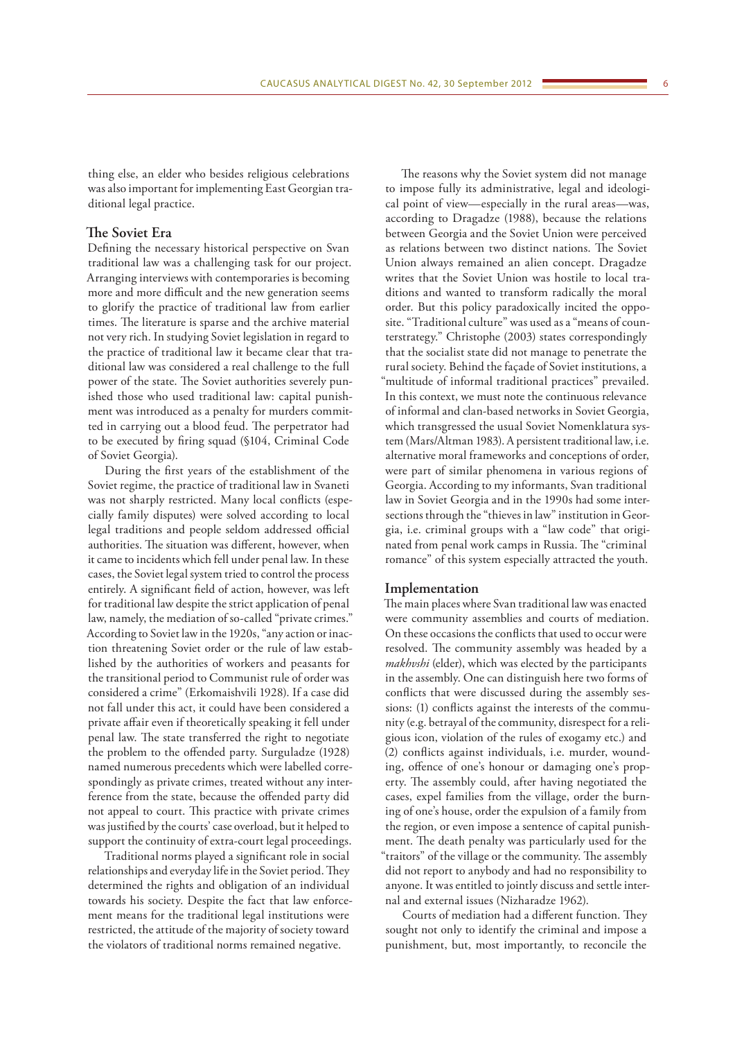thing else, an elder who besides religious celebrations was also important for implementing East Georgian traditional legal practice.

## **The Soviet Era**

Defining the necessary historical perspective on Svan traditional law was a challenging task for our project. Arranging interviews with contemporaries is becoming more and more difficult and the new generation seems to glorify the practice of traditional law from earlier times. The literature is sparse and the archive material not very rich. In studying Soviet legislation in regard to the practice of traditional law it became clear that traditional law was considered a real challenge to the full power of the state. The Soviet authorities severely punished those who used traditional law: capital punishment was introduced as a penalty for murders committed in carrying out a blood feud. The perpetrator had to be executed by firing squad (§104, Criminal Code of Soviet Georgia).

During the first years of the establishment of the Soviet regime, the practice of traditional law in Svaneti was not sharply restricted. Many local conflicts (especially family disputes) were solved according to local legal traditions and people seldom addressed official authorities. The situation was different, however, when it came to incidents which fell under penal law. In these cases, the Soviet legal system tried to control the process entirely. A significant field of action, however, was left for traditional law despite the strict application of penal law, namely, the mediation of so-called "private crimes." According to Soviet law in the 1920s, "any action or inaction threatening Soviet order or the rule of law established by the authorities of workers and peasants for the transitional period to Communist rule of order was considered a crime" (Erkomaishvili 1928). If a case did not fall under this act, it could have been considered a private affair even if theoretically speaking it fell under penal law. The state transferred the right to negotiate the problem to the offended party. Surguladze (1928) named numerous precedents which were labelled correspondingly as private crimes, treated without any interference from the state, because the offended party did not appeal to court. This practice with private crimes was justified by the courts' case overload, but it helped to support the continuity of extra-court legal proceedings.

Traditional norms played a significant role in social relationships and everyday life in the Soviet period. They determined the rights and obligation of an individual towards his society. Despite the fact that law enforcement means for the traditional legal institutions were restricted, the attitude of the majority of society toward the violators of traditional norms remained negative.

The reasons why the Soviet system did not manage to impose fully its administrative, legal and ideological point of view—especially in the rural areas—was, according to Dragadze (1988), because the relations between Georgia and the Soviet Union were perceived as relations between two distinct nations. The Soviet Union always remained an alien concept. Dragadze writes that the Soviet Union was hostile to local traditions and wanted to transform radically the moral order. But this policy paradoxically incited the opposite. "Traditional culture" was used as a "means of counterstrategy." Christophe (2003) states correspondingly that the socialist state did not manage to penetrate the rural society. Behind the façade of Soviet institutions, a "multitude of informal traditional practices" prevailed. In this context, we must note the continuous relevance of informal and clan-based networks in Soviet Georgia, which transgressed the usual Soviet Nomenklatura system (Mars/Altman 1983). A persistent traditional law, i.e. alternative moral frameworks and conceptions of order, were part of similar phenomena in various regions of Georgia. According to my informants, Svan traditional law in Soviet Georgia and in the 1990s had some intersections through the "thieves in law" institution in Georgia, i.e. criminal groups with a "law code" that originated from penal work camps in Russia. The "criminal romance" of this system especially attracted the youth.

#### **Implementation**

The main places where Svan traditional law was enacted were community assemblies and courts of mediation. On these occasions the conflicts that used to occur were resolved. The community assembly was headed by a *makhvshi* (elder), which was elected by the participants in the assembly. One can distinguish here two forms of conflicts that were discussed during the assembly sessions: (1) conflicts against the interests of the community (e.g. betrayal of the community, disrespect for a religious icon, violation of the rules of exogamy etc.) and (2) conflicts against individuals, i.e. murder, wounding, offence of one's honour or damaging one's property. The assembly could, after having negotiated the cases, expel families from the village, order the burning of one's house, order the expulsion of a family from the region, or even impose a sentence of capital punishment. The death penalty was particularly used for the "traitors" of the village or the community. The assembly did not report to anybody and had no responsibility to anyone. It was entitled to jointly discuss and settle internal and external issues (Nizharadze 1962).

Courts of mediation had a different function. They sought not only to identify the criminal and impose a punishment, but, most importantly, to reconcile the